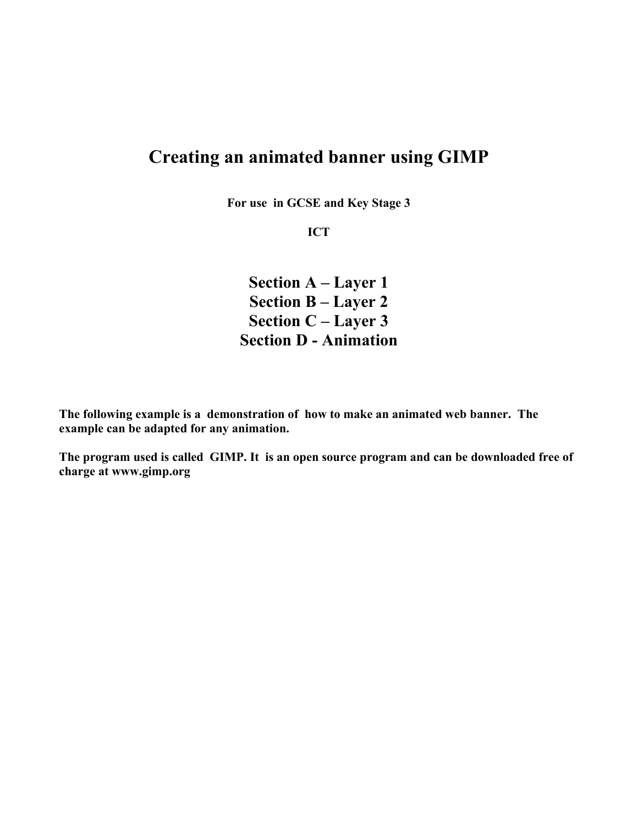# **Creating an animated banner using GIMP**

**For use in GCSE and Key Stage 3**

**ICT**

**Section A – Layer 1 Section B – Layer 2 Section C – Layer 3 Section D - Animation**

**The following example is a demonstration of how to make an animated web banner. The example can be adapted for any animation.** 

**The program used is called GIMP. It is an open source program and can be downloaded free of charge at www.gimp.org**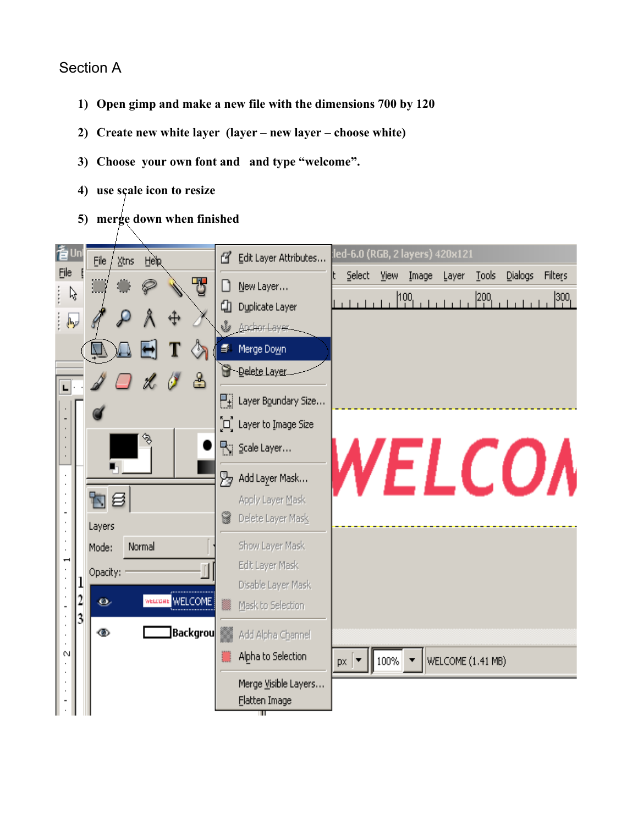## Section A

- **1) Open gimp and make a new file with the dimensions 700 by 120**
- **2) Create new white layer (layer new layer choose white)**
- **3) Choose your own font and and type "welcome".**
- **4) use scale icon to resize**
- **5) merge down when finished**

| 耆∪n        |   | Xtns<br>File<br><b>Help</b> | ≝<br>Edit Layer Attributes                          | led-6.0 (RGB, 2 layers) 420x121                                           |  |  |  |
|------------|---|-----------------------------|-----------------------------------------------------|---------------------------------------------------------------------------|--|--|--|
| File       |   | F                           | Select -<br>View<br>Image<br>New Layer<br>IJ        | <b>Tools</b><br>Dialogs<br>Filters<br>Layer                               |  |  |  |
| ß          |   |                             | 100 <br>⊕<br>Duplicate Layer                        | $200_1$<br>$\left  \begin{smallmatrix} 300 \ 1 \end{smallmatrix} \right $ |  |  |  |
| لروالي     |   |                             | <u>V Anchortayer</u>                                |                                                                           |  |  |  |
|            |   |                             | Merge Down                                          |                                                                           |  |  |  |
| ┖╎         |   | ಹಿ                          | <b>B</b> -Delete Layer                              |                                                                           |  |  |  |
|            |   |                             | $\frac{\Box_{\pm}}{\Box_{\pm}}$ Layer Boundary Size |                                                                           |  |  |  |
|            |   |                             | ົີ⊔ູື Layer to Iౖmage Size                          |                                                                           |  |  |  |
|            |   | H                           | Scale Layer                                         |                                                                           |  |  |  |
|            |   |                             | Add Layer Mask<br>W                                 | <i><b>NELCOA</b></i>                                                      |  |  |  |
|            |   | 旬目                          | Apply Layer Mask                                    |                                                                           |  |  |  |
|            |   | Layers                      | Delete Layer Mask                                   |                                                                           |  |  |  |
|            |   | Normal<br>Mode:             | Show Layer Mask                                     |                                                                           |  |  |  |
|            |   | Opacity:                    | Edit Layer Mask                                     |                                                                           |  |  |  |
|            | 2 | WELCOME<br>o                | Disable Layer Mask<br>Mask to Selection             |                                                                           |  |  |  |
|            | 3 |                             |                                                     |                                                                           |  |  |  |
| $^{\circ}$ |   | Backgrou<br>◉               | Add Alpha Channel                                   |                                                                           |  |  |  |
|            |   |                             | Alpha to Selection<br>100%<br>$px \mid \bullet$     | WELCOME (1.41 MB)                                                         |  |  |  |
|            |   |                             | Merge Visible Layers                                |                                                                           |  |  |  |
|            |   |                             | Flatten Image                                       |                                                                           |  |  |  |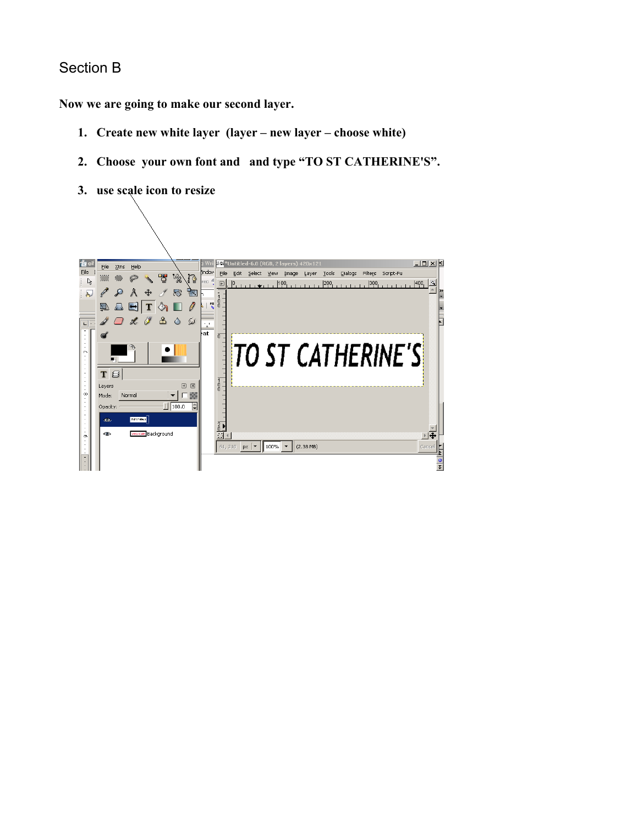### Section B

**Now we are going to make our second layer.**

- **1. Create new white layer (layer new layer choose white)**
- **2. Choose your own font and and type "TO ST CATHERINE'S".**
- **3. use scale icon to resize**

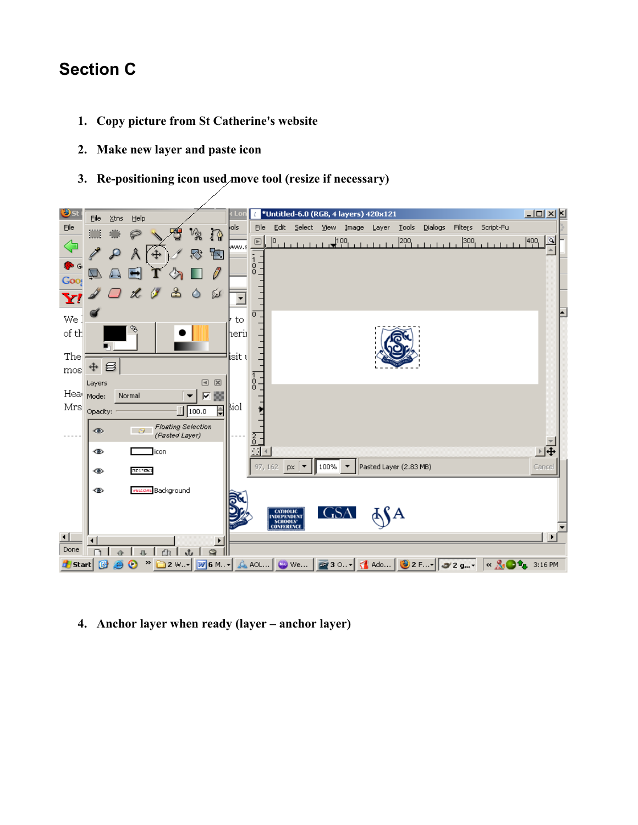# **Section C**

- **1. Copy picture from St Catherine's website**
- **2. Make new layer and paste icon**
- **3. Re-positioning icon used move tool (resize if necessary)**



**4. Anchor layer when ready (layer – anchor layer)**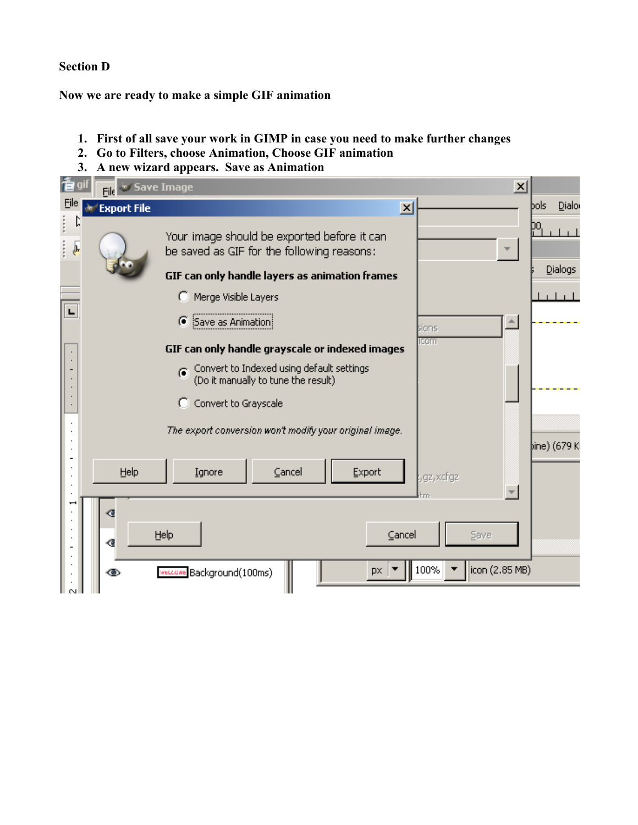### **Section D**

**Now we are ready to make a simple GIF animation**

- **1. First of all save your work in GIMP in case you need to make further changes**
- **2. Go to Filters, choose Animation, Choose GIF animation**
- **3. A new wizard appears. Save as Animation**

| 看可                              | $\vert x \vert$<br><b>File of Save Image</b> |                                                                                           |                 |              |                |
|---------------------------------|----------------------------------------------|-------------------------------------------------------------------------------------------|-----------------|--------------|----------------|
| Eile                            | <b>Export File</b>                           |                                                                                           | $\vert x \vert$ |              | Dialor<br>bols |
| Ŋ<br>f,<br>$\sqrt{\frac{1}{2}}$ |                                              | Your image should be exported before it can<br>be saved as GIF for the following reasons: |                 |              | DO.<br>Dialogs |
|                                 |                                              | GIF can only handle layers as animation frames                                            |                 |              |                |
|                                 | o                                            | Merge Visible Layers                                                                      |                 |              |                |
| E                               |                                              | ◯ Save as Animation                                                                       |                 | sions.       |                |
|                                 |                                              | GIF can only handle grayscale or indexed images                                           |                 | <b>ICOM</b>  |                |
|                                 |                                              | ⊙ Convert to Indexed using default settings<br>(Do it manually to tune the result)        |                 |              |                |
|                                 |                                              | C Convert to Grayscale                                                                    |                 |              |                |
|                                 |                                              | The export conversion won't modify your original image.                                   |                 |              | þine) (679 Kl  |
|                                 | Help<br>Ignore                               | Cancel                                                                                    | Export          | , gz, xcf gz |                |
|                                 | œ                                            |                                                                                           |                 |              |                |
|                                 | Help<br>∢                                    |                                                                                           | Cancel          | Save         |                |
|                                 | ඟ                                            | MELLGARE Background(100ms)                                                                | px.             | 100%         | icon (2.85 MB) |